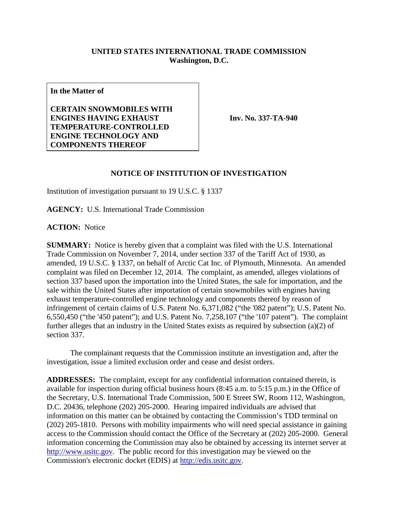## **UNITED STATES INTERNATIONAL TRADE COMMISSION Washington, D.C.**

**In the Matter of**

**CERTAIN SNOWMOBILES WITH ENGINES HAVING EXHAUST TEMPERATURE-CONTROLLED ENGINE TECHNOLOGY AND COMPONENTS THEREOF**

**Inv. No. 337-TA-940**

## **NOTICE OF INSTITUTION OF INVESTIGATION**

Institution of investigation pursuant to 19 U.S.C. § 1337

**AGENCY:** U.S. International Trade Commission

**ACTION:** Notice

**SUMMARY:** Notice is hereby given that a complaint was filed with the U.S. International Trade Commission on November 7, 2014, under section 337 of the Tariff Act of 1930, as amended, 19 U.S.C. § 1337, on behalf of Arctic Cat Inc. of Plymouth, Minnesota. An amended complaint was filed on December 12, 2014. The complaint, as amended, alleges violations of section 337 based upon the importation into the United States, the sale for importation, and the sale within the United States after importation of certain snowmobiles with engines having exhaust temperature-controlled engine technology and components thereof by reason of infringement of certain claims of U.S. Patent No. 6,371,082 ("the '082 patent"); U.S. Patent No. 6,550,450 ("the '450 patent"); and U.S. Patent No. 7,258,107 ("the '107 patent"). The complaint further alleges that an industry in the United States exists as required by subsection (a)(2) of section 337.

The complainant requests that the Commission institute an investigation and, after the investigation, issue a limited exclusion order and cease and desist orders.

**ADDRESSES:** The complaint, except for any confidential information contained therein, is available for inspection during official business hours (8:45 a.m. to 5:15 p.m.) in the Office of the Secretary, U.S. International Trade Commission, 500 E Street SW, Room 112, Washington, D.C. 20436, telephone (202) 205-2000. Hearing impaired individuals are advised that information on this matter can be obtained by contacting the Commission's TDD terminal on (202) 205-1810. Persons with mobility impairments who will need special assistance in gaining access to the Commission should contact the Office of the Secretary at (202) 205-2000. General information concerning the Commission may also be obtained by accessing its internet server at [http://www.usitc.gov.](http://www.usitc.gov/) The public record for this investigation may be viewed on the Commission's electronic docket (EDIS) at [http://edis.usitc.gov.](http://edis.usitc.gov/)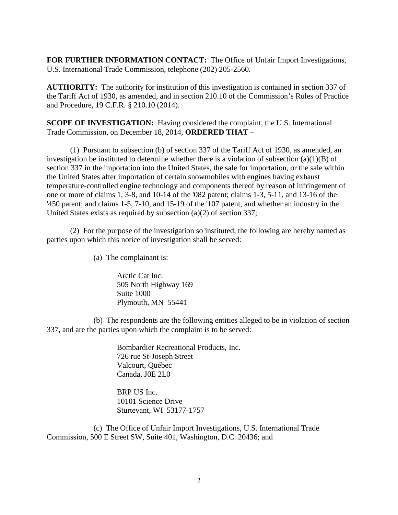**FOR FURTHER INFORMATION CONTACT:** The Office of Unfair Import Investigations, U.S. International Trade Commission, telephone (202) 205-2560.

**AUTHORITY:** The authority for institution of this investigation is contained in section 337 of the Tariff Act of 1930, as amended, and in section 210.10 of the Commission's Rules of Practice and Procedure, 19 C.F.R. § 210.10 (2014).

**SCOPE OF INVESTIGATION:** Having considered the complaint, the U.S. International Trade Commission, on December 18, 2014, **ORDERED THAT** –

(1) Pursuant to subsection (b) of section 337 of the Tariff Act of 1930, as amended, an investigation be instituted to determine whether there is a violation of subsection (a)(1)(B) of section 337 in the importation into the United States, the sale for importation, or the sale within the United States after importation of certain snowmobiles with engines having exhaust temperature-controlled engine technology and components thereof by reason of infringement of one or more of claims 1, 3-8, and 10-14 of the '082 patent; claims 1-3, 5-11, and 13-16 of the '450 patent; and claims 1-5, 7-10, and 15-19 of the '107 patent, and whether an industry in the United States exists as required by subsection (a)(2) of section 337;

(2) For the purpose of the investigation so instituted, the following are hereby named as parties upon which this notice of investigation shall be served:

(a) The complainant is:

Arctic Cat Inc. 505 North Highway 169 Suite 1000 Plymouth, MN 55441

(b) The respondents are the following entities alleged to be in violation of section 337, and are the parties upon which the complaint is to be served:

> Bombardier Recreational Products, Inc. 726 rue St-Joseph Street Valcourt, Québec Canada, J0E 2L0

BRP US Inc. 10101 Science Drive Sturtevant, WI 53177-1757

(c) The Office of Unfair Import Investigations, U.S. International Trade Commission, 500 E Street SW, Suite 401, Washington, D.C. 20436; and